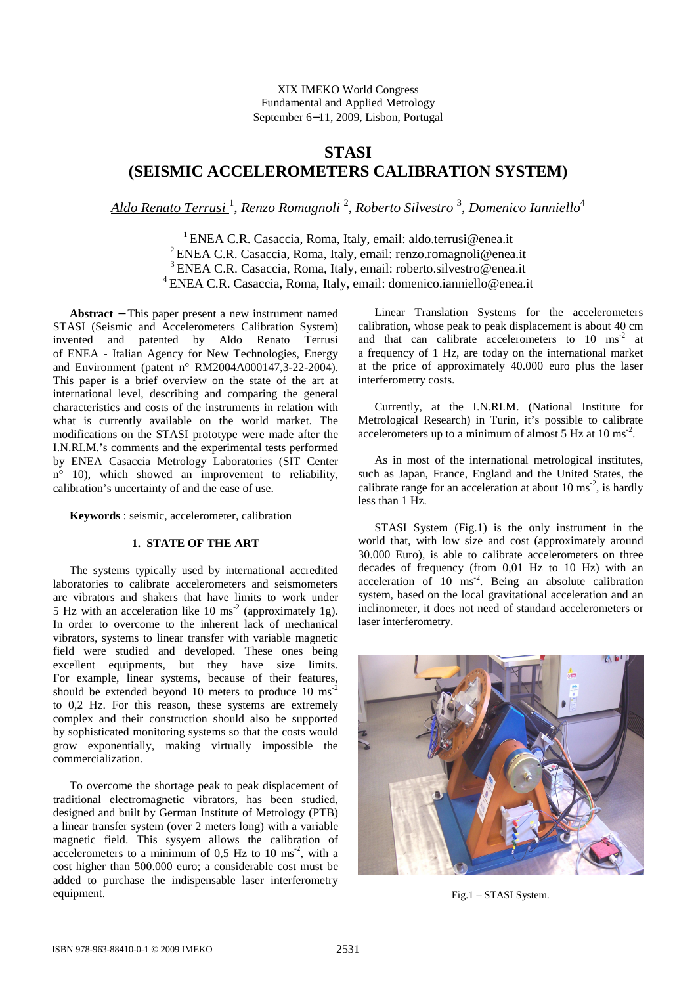XIX IMEKO World Congress Fundamental and Applied Metrology September 6−11, 2009, Lisbon, Portugal

# **STASI (SEISMIC ACCELEROMETERS CALIBRATION SYSTEM)**

*Aldo Renato Terrusi* <sup>1</sup> , *Renzo Romagnoli* <sup>2</sup> , *Roberto Silvestro* <sup>3</sup> , *Domenico Ianniello*<sup>4</sup>

<sup>1</sup> ENEA C.R. Casaccia, Roma, Italy, email: aldo.terrusi@enea.it ENEA C.R. Casaccia, Roma, Italy, email: renzo.romagnoli@enea.it ENEA C.R. Casaccia, Roma, Italy, email: roberto.silvestro@enea.it ENEA C.R. Casaccia, Roma, Italy, email: domenico.ianniello@enea.it

**Abstract** − This paper present a new instrument named STASI (Seismic and Accelerometers Calibration System) invented and patented by Aldo Renato Terrusi of ENEA - Italian Agency for New Technologies, Energy and Environment (patent n° RM2004A000147,3-22-2004). This paper is a brief overview on the state of the art at international level, describing and comparing the general characteristics and costs of the instruments in relation with what is currently available on the world market. The modifications on the STASI prototype were made after the I.N.RI.M.'s comments and the experimental tests performed by ENEA Casaccia Metrology Laboratories (SIT Center n° 10), which showed an improvement to reliability, calibration's uncertainty of and the ease of use.

**Keywords** : seismic, accelerometer, calibration

# **1. STATE OF THE ART**

The systems typically used by international accredited laboratories to calibrate accelerometers and seismometers are vibrators and shakers that have limits to work under 5 Hz with an acceleration like  $10 \text{ ms}^2$  (approximately 1g). In order to overcome to the inherent lack of mechanical vibrators, systems to linear transfer with variable magnetic field were studied and developed. These ones being excellent equipments, but they have size limits. For example, linear systems, because of their features, should be extended beyond 10 meters to produce  $10 \text{ ms}^{-2}$ to 0,2 Hz. For this reason, these systems are extremely complex and their construction should also be supported by sophisticated monitoring systems so that the costs would grow exponentially, making virtually impossible the commercialization.

To overcome the shortage peak to peak displacement of traditional electromagnetic vibrators, has been studied, designed and built by German Institute of Metrology (PTB) a linear transfer system (over 2 meters long) with a variable magnetic field. This sysyem allows the calibration of accelerometers to a minimum of  $0.5$  Hz to  $10 \text{ ms}^{-2}$ , with a cost higher than 500.000 euro; a considerable cost must be added to purchase the indispensable laser interferometry equipment.

Linear Translation Systems for the accelerometers calibration, whose peak to peak displacement is about 40 cm and that can calibrate accelerometers to  $10 \text{ ms}^{-2}$  at a frequency of 1 Hz, are today on the international market at the price of approximately 40.000 euro plus the laser interferometry costs.

Currently, at the I.N.RI.M. (National Institute for Metrological Research) in Turin, it's possible to calibrate accelerometers up to a minimum of almost  $5$  Hz at  $10 \text{ ms}^{-2}$ .

As in most of the international metrological institutes, such as Japan, France, England and the United States, the calibrate range for an acceleration at about 10 ms<sup>-2</sup>, is hardly less than 1 Hz.

STASI System (Fig.1) is the only instrument in the world that, with low size and cost (approximately around 30.000 Euro), is able to calibrate accelerometers on three decades of frequency (from 0,01 Hz to 10 Hz) with an acceleration of  $10 \text{ ms}^2$ . Being an absolute calibration system, based on the local gravitational acceleration and an inclinometer, it does not need of standard accelerometers or laser interferometry.



Fig.1 – STASI System.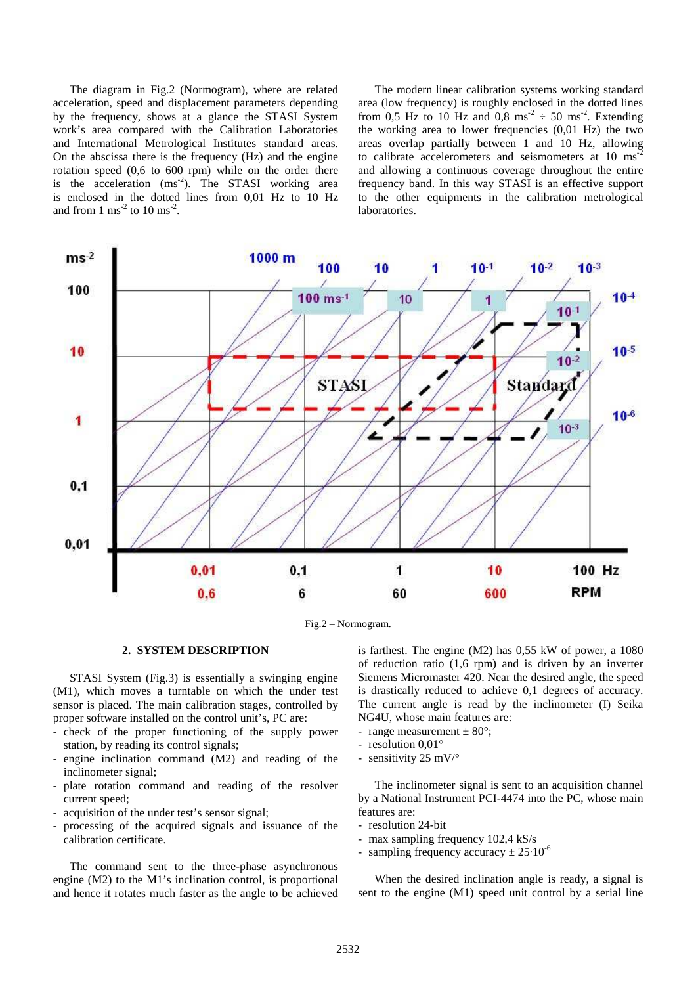The diagram in Fig.2 (Normogram), where are related acceleration, speed and displacement parameters depending by the frequency, shows at a glance the STASI System work's area compared with the Calibration Laboratories and International Metrological Institutes standard areas. On the abscissa there is the frequency (Hz) and the engine rotation speed (0,6 to 600 rpm) while on the order there is the acceleration  $(ms<sup>-2</sup>)$ . The STASI working area is enclosed in the dotted lines from 0,01 Hz to 10 Hz and from  $1 \text{ ms}^{-2}$  to  $10 \text{ ms}^{-2}$ .

The modern linear calibration systems working standard area (low frequency) is roughly enclosed in the dotted lines from 0,5 Hz to 10 Hz and 0,8 ms<sup>-2</sup>  $\div$  50 ms<sup>-2</sup>. Extending the working area to lower frequencies (0,01 Hz) the two areas overlap partially between 1 and 10 Hz, allowing to calibrate accelerometers and seismometers at 10 ms<sup>-</sup> and allowing a continuous coverage throughout the entire frequency band. In this way STASI is an effective support to the other equipments in the calibration metrological laboratories.



Fig.2 – Normogram.

## **2. SYSTEM DESCRIPTION**

STASI System (Fig.3) is essentially a swinging engine (M1), which moves a turntable on which the under test sensor is placed. The main calibration stages, controlled by proper software installed on the control unit's, PC are:

- check of the proper functioning of the supply power station, by reading its control signals;
- engine inclination command (M2) and reading of the inclinometer signal;
- plate rotation command and reading of the resolver current speed;
- acquisition of the under test's sensor signal;
- processing of the acquired signals and issuance of the calibration certificate.

The command sent to the three-phase asynchronous engine (M2) to the M1's inclination control, is proportional and hence it rotates much faster as the angle to be achieved is farthest. The engine (M2) has 0,55 kW of power, a 1080 of reduction ratio (1,6 rpm) and is driven by an inverter Siemens Micromaster 420. Near the desired angle, the speed is drastically reduced to achieve 0,1 degrees of accuracy. The current angle is read by the inclinometer (I) Seika NG4U, whose main features are:

- range measurement  $\pm 80^{\circ}$ ;
- resolution 0,01°
- sensitivity 25 mV/°

The inclinometer signal is sent to an acquisition channel by a National Instrument PCI-4474 into the PC, whose main features are:

- resolution 24-bit
- max sampling frequency 102,4 kS/s
- sampling frequency accuracy  $\pm 25.10^{-6}$

When the desired inclination angle is ready, a signal is sent to the engine (M1) speed unit control by a serial line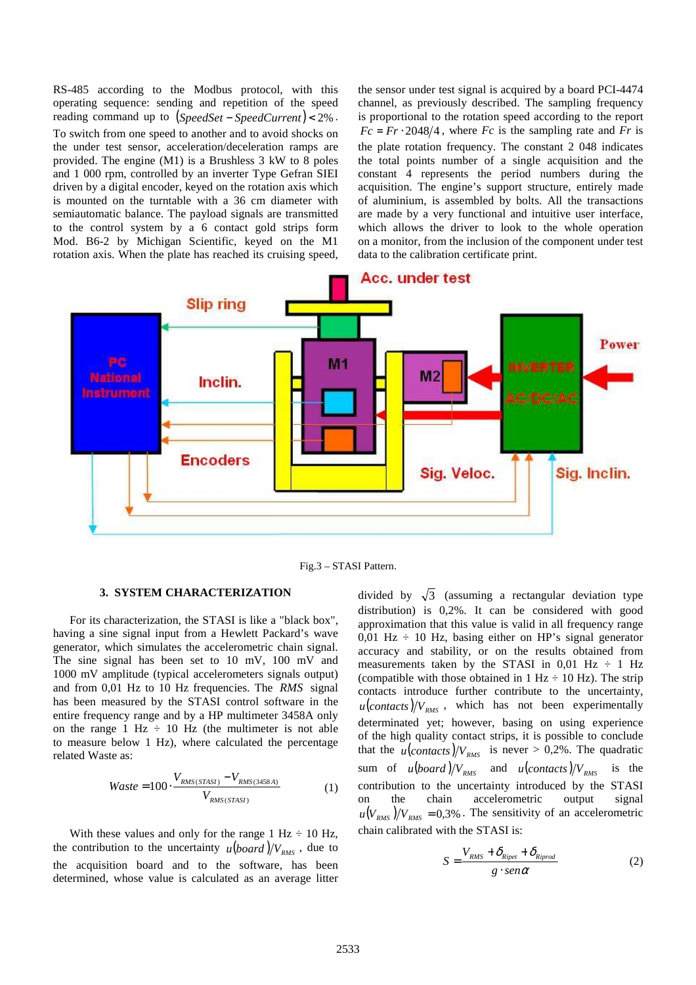RS-485 according to the Modbus protocol, with this operating sequence: sending and repetition of the speed reading command up to (*SpeedSet* − *SpeedCurrent*) < 2% . To switch from one speed to another and to avoid shocks on the under test sensor, acceleration/deceleration ramps are provided. The engine (M1) is a Brushless 3 kW to 8 poles and 1 000 rpm, controlled by an inverter Type Gefran SIEI driven by a digital encoder, keyed on the rotation axis which is mounted on the turntable with a 36 cm diameter with semiautomatic balance. The payload signals are transmitted to the control system by a 6 contact gold strips form Mod. B6-2 by Michigan Scientific, keyed on the M1 rotation axis. When the plate has reached its cruising speed, the sensor under test signal is acquired by a board PCI-4474 channel, as previously described. The sampling frequency is proportional to the rotation speed according to the report  $Fc = Fr \cdot 2048/4$ , where *Fc* is the sampling rate and *Fr* is the plate rotation frequency. The constant 2 048 indicates the total points number of a single acquisition and the constant 4 represents the period numbers during the acquisition. The engine's support structure, entirely made of aluminium, is assembled by bolts. All the transactions are made by a very functional and intuitive user interface, which allows the driver to look to the whole operation on a monitor, from the inclusion of the component under test data to the calibration certificate print.



Fig.3 – STASI Pattern.

#### **3. SYSTEM CHARACTERIZATION**

For its characterization, the STASI is like a "black box", having a sine signal input from a Hewlett Packard's wave generator, which simulates the accelerometric chain signal. The sine signal has been set to 10 mV, 100 mV and 1000 mV amplitude (typical accelerometers signals output) and from 0,01 Hz to 10 Hz frequencies. The *RMS* signal has been measured by the STASI control software in the entire frequency range and by a HP multimeter 3458A only on the range 1 Hz  $\div$  10 Hz (the multimeter is not able to measure below 1 Hz), where calculated the percentage related Waste as:

$$
Waste = 100 \cdot \frac{V_{RMS(STASI)} - V_{RMS(3458A)}}{V_{RMS(STASI)}} \tag{1}
$$

With these values and only for the range 1 Hz  $\div$  10 Hz, the contribution to the uncertainty  $u (board) / V_{RMS}$ , due to the acquisition board and to the software, has been determined, whose value is calculated as an average litter divided by  $\sqrt{3}$  (assuming a rectangular deviation type distribution) is 0,2%. It can be considered with good approximation that this value is valid in all frequency range  $0,01$  Hz  $\div$  10 Hz, basing either on HP's signal generator accuracy and stability, or on the results obtained from measurements taken by the STASI in  $0.01$  Hz  $\div$  1 Hz (compatible with those obtained in  $1 \text{ Hz} \div 10 \text{ Hz}$ ). The strip contacts introduce further contribute to the uncertainty,  $u$ (*contacts*)/ $V_{RMS}$ , which has not been experimentally determinated yet; however, basing on using experience of the high quality contact strips, it is possible to conclude that the  $u$ (*contacts*)/ $V_{RMS}$  is never > 0,2%. The quadratic sum of  $u (board) / V_{RMS}$  and  $u (contacts) / V_{RMS}$  is the contribution to the uncertainty introduced by the STASI on the chain accelerometric output signal  $u(V_{RMS})/V_{RMS} = 0.3\%$ . The sensitivity of an accelerometric chain calibrated with the STASI is:

$$
S = \frac{V_{RMS} + \delta_{Ripet} + \delta_{Riprod}}{g \cdot \text{sen}\alpha} \tag{2}
$$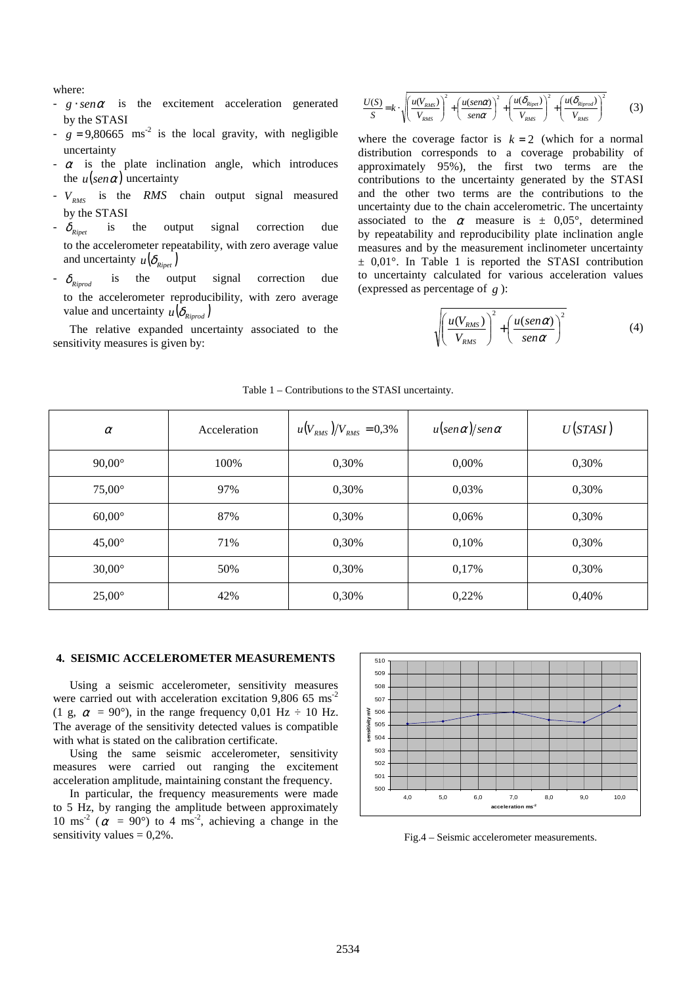where:

- $g \cdot \text{sen}\alpha$  is the excitement acceleration generated by the STASI
- $-$  *g* = 9,80665 ms<sup>-2</sup> is the local gravity, with negligible uncertainty
- $-\alpha$  is the plate inclination angle, which introduces the  $u(\text{sen}\alpha)$  uncertainty
- *VRMS* is the *RMS* chain output signal measured by the STASI
- $\delta_{\scriptscriptstyle Rinet}$ is the output signal correction due to the accelerometer repeatability, with zero average value and uncertainty  $u(\delta_{\text{Rivet}})$
- $\delta_{\scriptscriptstyle Riprod}$ *Riproduce is the output signal correction due* to the accelerometer reproducibility, with zero average value and uncertainty  $u(\delta_{\text{Rinrod}})$
- The relative expanded uncertainty associated to the sensitivity measures is given by:

$$
\frac{U(S)}{S} = k \cdot \sqrt{\left(\frac{u(V_{RMS})}{V_{RMS}}\right)^2 + \left(\frac{u(senc)}{sen\alpha}\right)^2 + \left(\frac{u(\delta_{Ripet})}{V_{RMS}}\right)^2 + \left(\frac{u(\delta_{Ripcd})}{V_{RMS}}\right)^2}
$$
(3)

where the coverage factor is  $k = 2$  (which for a normal distribution corresponds to a coverage probability of approximately 95%), the first two terms are the contributions to the uncertainty generated by the STASI and the other two terms are the contributions to the uncertainty due to the chain accelerometric. The uncertainty associated to the  $\alpha$  measure is  $\pm$  0,05°, determined by repeatability and reproducibility plate inclination angle measures and by the measurement inclinometer uncertainty  $\pm$  0,01°. In Table 1 is reported the STASI contribution to uncertainty calculated for various acceleration values (expressed as percentage of *g* ):

$$
\sqrt{\left(\frac{u(V_{RMS})}{V_{RMS}}\right)^2 + \left(\frac{u(sen\alpha)}{sen\alpha}\right)^2}
$$
 (4)

| $\alpha$        | Acceleration | $u(V_{RMS})/V_{RMS} = 0.3\%$ | $u(\sin \alpha)/\sin \alpha$ | U(STASI) |
|-----------------|--------------|------------------------------|------------------------------|----------|
| $90,00^\circ$   | 100%         | 0,30%                        | 0,00%                        | 0,30%    |
| $75,00^{\circ}$ | 97%          | 0,30%                        | 0,03%                        | 0,30%    |
| $60,00^\circ$   | 87%          | 0,30%                        | 0,06%                        | 0,30%    |
| $45,00^{\circ}$ | 71%          | 0,30%                        | 0,10%                        | 0,30%    |
| $30,00^\circ$   | 50%          | 0,30%                        | 0,17%                        | 0,30%    |
| $25,00^{\circ}$ | 42%          | 0,30%                        | 0,22%                        | 0,40%    |

#### Table 1 – Contributions to the STASI uncertainty.

#### **4. SEISMIC ACCELEROMETER MEASUREMENTS**

Using a seismic accelerometer, sensitivity measures were carried out with acceleration excitation 9,806  $65 \text{ ms}^{-2}$ (1 g,  $\alpha$  = 90°), in the range frequency 0,01 Hz  $\div$  10 Hz. The average of the sensitivity detected values is compatible with what is stated on the calibration certificate.

Using the same seismic accelerometer, sensitivity measures were carried out ranging the excitement acceleration amplitude, maintaining constant the frequency.

In particular, the frequency measurements were made to 5 Hz, by ranging the amplitude between approximately 10 ms<sup>-2</sup> ( $\alpha$  = 90°) to 4 ms<sup>-2</sup>, achieving a change in the sensitivity values  $= 0.2\%$ .



Fig.4 – Seismic accelerometer measurements.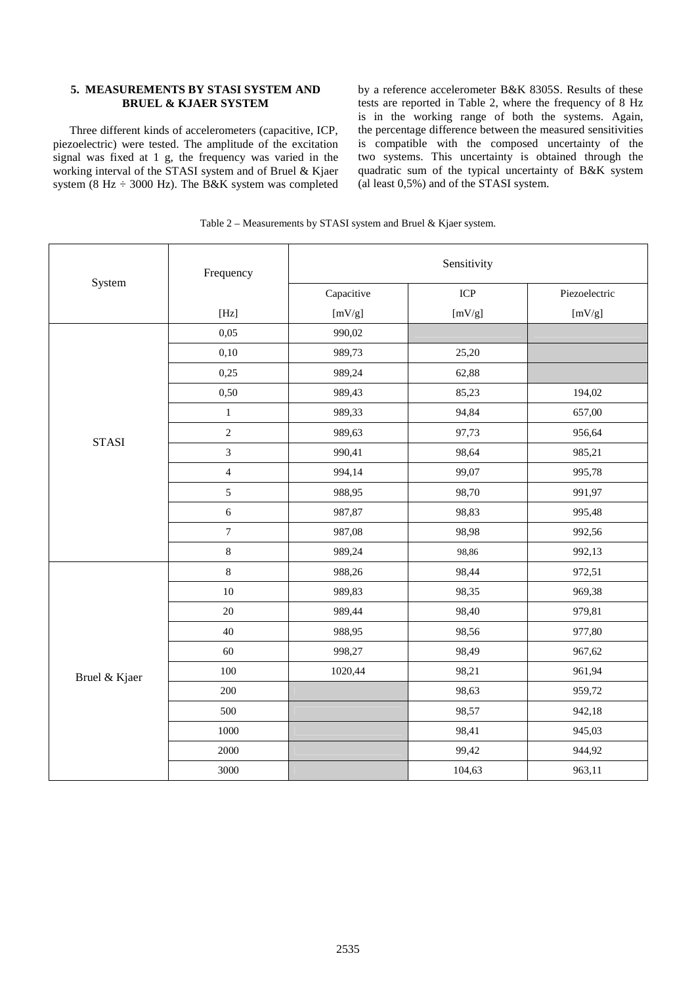# **5. MEASUREMENTS BY STASI SYSTEM AND BRUEL & KJAER SYSTEM**

Three different kinds of accelerometers (capacitive, ICP, piezoelectric) were tested. The amplitude of the excitation signal was fixed at 1 g, the frequency was varied in the working interval of the STASI system and of Bruel & Kjaer system (8 Hz ÷ 3000 Hz). The B&K system was completed

by a reference accelerometer B&K 8305S. Results of these tests are reported in Table 2, where the frequency of 8 Hz is in the working range of both the systems. Again, the percentage difference between the measured sensitivities is compatible with the composed uncertainty of the two systems. This uncertainty is obtained through the quadratic sum of the typical uncertainty of B&K system (al least 0,5%) and of the STASI system.

| System        | Frequency                                                                                                                                                                                                                                                                                                                                                                                                                                                                                                                                                                                                                                                      | Sensitivity |            |               |
|---------------|----------------------------------------------------------------------------------------------------------------------------------------------------------------------------------------------------------------------------------------------------------------------------------------------------------------------------------------------------------------------------------------------------------------------------------------------------------------------------------------------------------------------------------------------------------------------------------------------------------------------------------------------------------------|-------------|------------|---------------|
|               |                                                                                                                                                                                                                                                                                                                                                                                                                                                                                                                                                                                                                                                                | Capacitive  | <b>ICP</b> | Piezoelectric |
|               | $[Hz] % \includegraphics[width=0.9\columnwidth]{figures/fig_1a} \caption{The 3D (a) of the parameter $\Omega$ in the $z$-error of the parameter $z$ and $z$-error of the parameter $z$ and $z$ and $z$ are shown in the $z$-error of the parameter $z$ and $z$ are shown in the $z$-error of the parameter $z$ and $z$ are shown in the $z$-error of the parameter $z$ and $z$ are shown in the $z$-error of the parameter $z$ and $z$ are shown in the $z$-error of the parameter $z$ and $z$ are shown in the $z$-error of the parameter $z$ and $z$ are shown in the $z$-error of the parameter $z$ and $z$ are shown in the $z$-error of the parameter $z$ | [mV/g]      | [mV/g]     | [mV/g]        |
| <b>STASI</b>  | 0,05                                                                                                                                                                                                                                                                                                                                                                                                                                                                                                                                                                                                                                                           | 990,02      |            |               |
|               | 0,10                                                                                                                                                                                                                                                                                                                                                                                                                                                                                                                                                                                                                                                           | 989,73      | 25,20      |               |
|               | 0,25                                                                                                                                                                                                                                                                                                                                                                                                                                                                                                                                                                                                                                                           | 989,24      | 62,88      |               |
|               | 0,50                                                                                                                                                                                                                                                                                                                                                                                                                                                                                                                                                                                                                                                           | 989,43      | 85,23      | 194,02        |
|               | $\,1\,$                                                                                                                                                                                                                                                                                                                                                                                                                                                                                                                                                                                                                                                        | 989,33      | 94,84      | 657,00        |
|               | $\sqrt{2}$                                                                                                                                                                                                                                                                                                                                                                                                                                                                                                                                                                                                                                                     | 989,63      | 97,73      | 956,64        |
|               | $\mathfrak{Z}$                                                                                                                                                                                                                                                                                                                                                                                                                                                                                                                                                                                                                                                 | 990,41      | 98,64      | 985,21        |
|               | $\overline{4}$                                                                                                                                                                                                                                                                                                                                                                                                                                                                                                                                                                                                                                                 | 994,14      | 99,07      | 995,78        |
|               | $\sqrt{5}$                                                                                                                                                                                                                                                                                                                                                                                                                                                                                                                                                                                                                                                     | 988,95      | 98,70      | 991,97        |
|               | $\sqrt{6}$                                                                                                                                                                                                                                                                                                                                                                                                                                                                                                                                                                                                                                                     | 987,87      | 98,83      | 995,48        |
|               | $\boldsymbol{7}$                                                                                                                                                                                                                                                                                                                                                                                                                                                                                                                                                                                                                                               | 987,08      | 98,98      | 992,56        |
|               | $\,8\,$                                                                                                                                                                                                                                                                                                                                                                                                                                                                                                                                                                                                                                                        | 989,24      | 98,86      | 992,13        |
| Bruel & Kjaer | $\,8\,$                                                                                                                                                                                                                                                                                                                                                                                                                                                                                                                                                                                                                                                        | 988,26      | 98,44      | 972,51        |
|               | $10\,$                                                                                                                                                                                                                                                                                                                                                                                                                                                                                                                                                                                                                                                         | 989,83      | 98,35      | 969,38        |
|               | $20\,$                                                                                                                                                                                                                                                                                                                                                                                                                                                                                                                                                                                                                                                         | 989,44      | 98,40      | 979,81        |
|               | 40                                                                                                                                                                                                                                                                                                                                                                                                                                                                                                                                                                                                                                                             | 988,95      | 98,56      | 977,80        |
|               | 60                                                                                                                                                                                                                                                                                                                                                                                                                                                                                                                                                                                                                                                             | 998,27      | 98,49      | 967,62        |
|               | $100\,$                                                                                                                                                                                                                                                                                                                                                                                                                                                                                                                                                                                                                                                        | 1020,44     | 98,21      | 961,94        |
|               | 200                                                                                                                                                                                                                                                                                                                                                                                                                                                                                                                                                                                                                                                            |             | 98,63      | 959,72        |
|               | 500                                                                                                                                                                                                                                                                                                                                                                                                                                                                                                                                                                                                                                                            |             | 98,57      | 942,18        |
|               | 1000                                                                                                                                                                                                                                                                                                                                                                                                                                                                                                                                                                                                                                                           |             | 98,41      | 945,03        |
|               | 2000                                                                                                                                                                                                                                                                                                                                                                                                                                                                                                                                                                                                                                                           |             | 99,42      | 944,92        |
|               | 3000                                                                                                                                                                                                                                                                                                                                                                                                                                                                                                                                                                                                                                                           |             | 104,63     | 963,11        |

Table 2 – Measurements by STASI system and Bruel & Kjaer system.